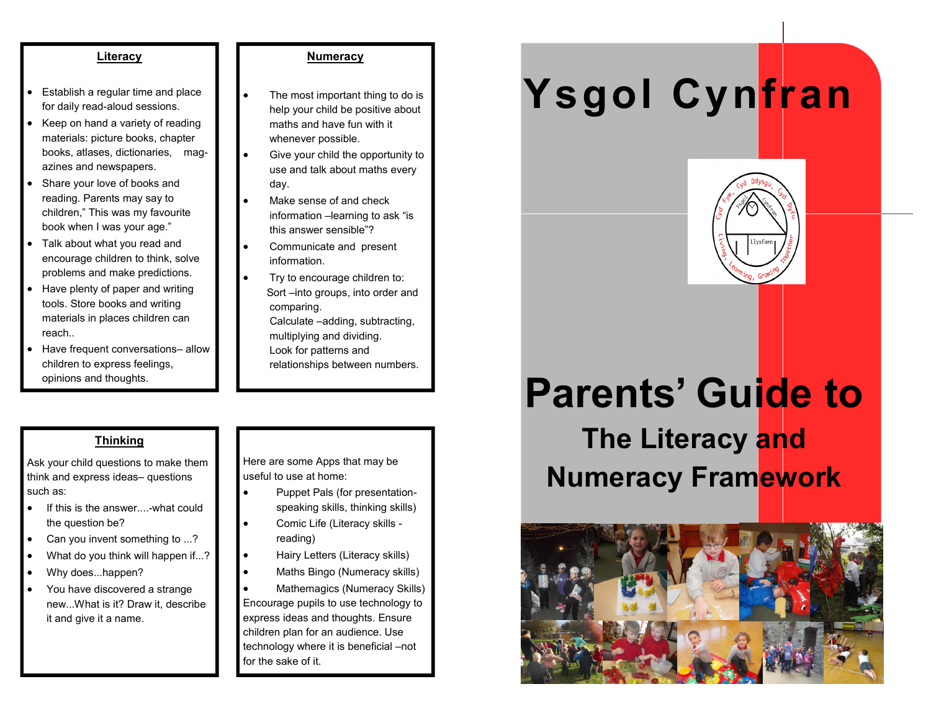#### **Literacy**

- Establish a regular time and place for daily read-aloud sessions.
- Keep on hand a variety of reading materials: picture books, chapter books, atlases, dictionaries, magazines and newspapers.
- Share your love of books and reading. Parents may say to children," This was my favourite book when I was your age."
- Talk about what you read and encourage children to think, solve problems and make predictions.
- Have plenty of paper and writing tools. Store books and writing materials in places children can reach..
- Have frequent conversations– allow children to express feelings, opinions and thoughts.

#### **Numeracy**

- The most important thing to do is help your child be positive about maths and have fun with it whenever possible.
- Give your child the opportunity to use and talk about maths every day.
- Make sense of and check information –learning to ask "is this answer sensible"?
- Communicate and present information.
- Try to encourage children to: Sort –into groups, into order and comparing. Calculate –adding, subtracting, multiplying and dividing. Look for patterns and relationships between numbers.

#### **Thinking**

Ask your child questions to make them think and express ideas– questions such as:

- If this is the answer....-what could the question be?
- Can you invent something to ...?
- What do you think will happen if...?
- Why does...happen?
- You have discovered a strange new...What is it? Draw it, describe it and give it a name.

Here are some Apps that may be useful to use at home:

- Puppet Pals (for presentationspeaking skills, thinking skills)
- Comic Life (Literacy skills reading)
	- Hairy Letters (Literacy skills)
- Maths Bingo (Numeracy skills)
- Mathemagics (Numeracy Skills) Encourage pupils to use technology to express ideas and thoughts. Ensure children plan for an audience. Use technology where it is beneficial –not for the sake of it.

# **Ysgol Cynfran**



# **Parents' Guide to**

**The Literacy and Numeracy Framework**